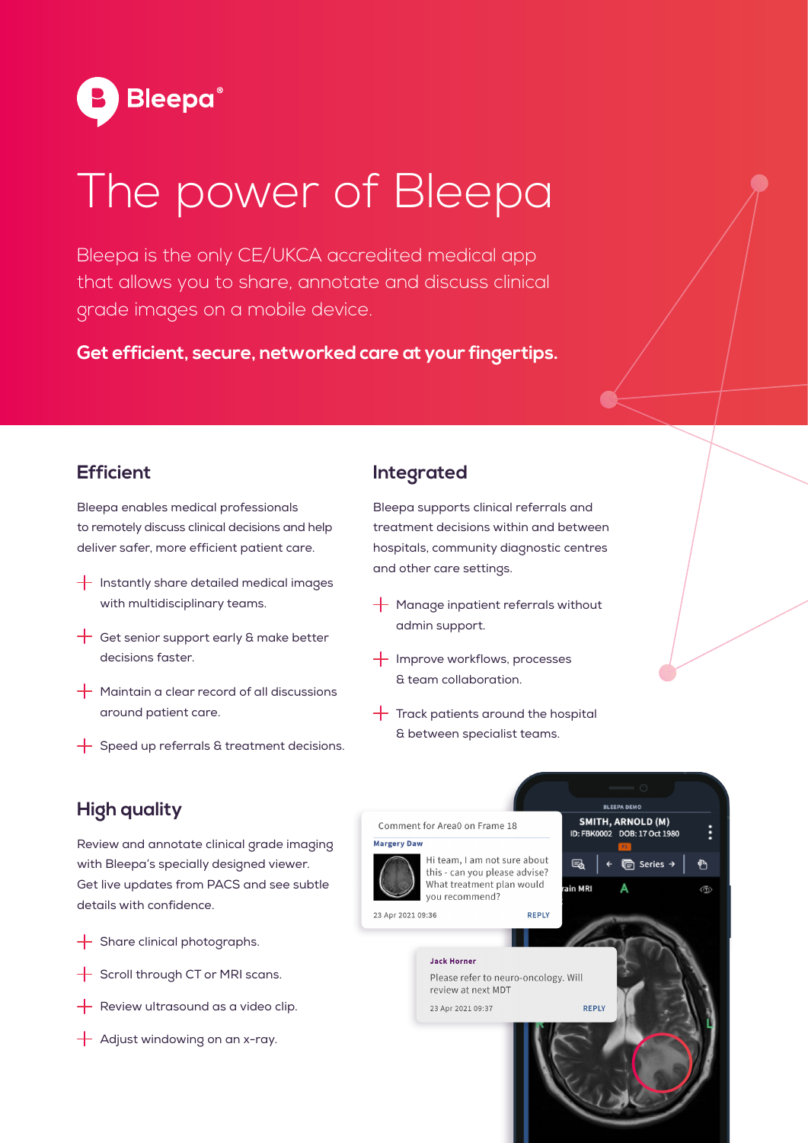

# The power of Bleepa

Bleepa is the only CE/UKCA accredited medical app that allows you to share, annotate and discuss clinical grade images on a mobile device.

**Get efficient, secure, networked care at your fingertips.**

#### **Efficient**

Bleepa enables medical professionals to remotely discuss clinical decisions and help deliver safer, more efficient patient care.

- $+$  Instantly share detailed medical images with multidisciplinary teams.
- $\frac{1}{\sqrt{1}}$  Get senior support early & make better decisions faster.
- $+$  Maintain a clear record of all discussions around patient care.
- $+$  Speed up referrals & treatment decisions.

#### **Integrated**

Bleepa supports clinical referrals and treatment decisions within and between hospitals, community diagnostic centres and other care settings.

- $+$  Manage inpatient referrals without admin support.
- $+$  Improve workflows, processes & team collaboration.
- $+$  Track patients around the hospital & between specialist teams.

#### **High quality**

Review and annotate clinical grade imaging with Bleepa's specially designed viewer. Get live updates from PACS and see subtle details with confidence.

- $+$  Share clinical photographs.
- $+$  Scroll through CT or MRI scans.
- $+$  Review ultrasound as a video clip.
- $+$  Adjust windowing on an x-ray.